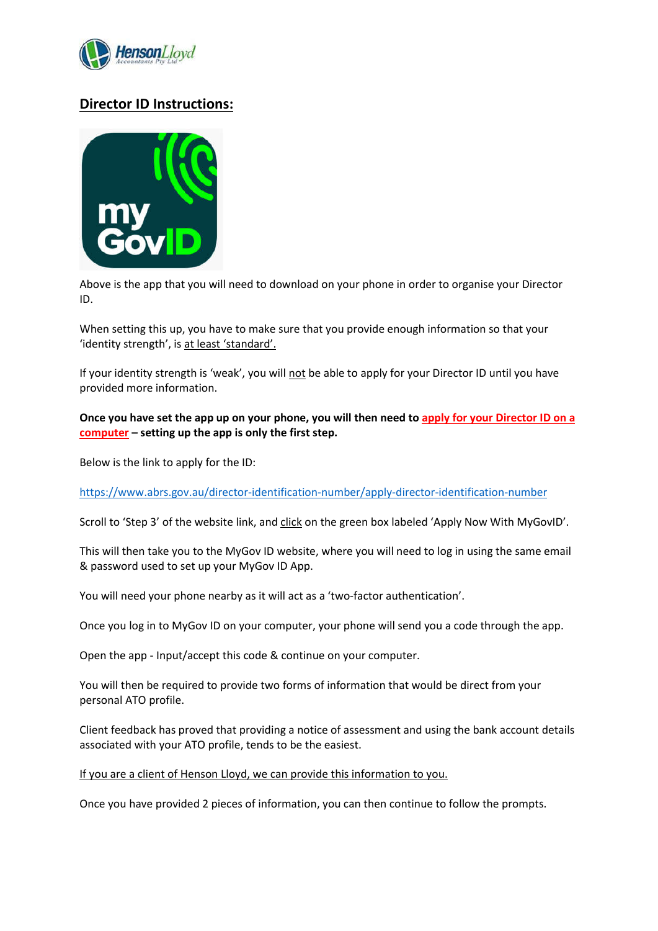

## **Director ID Instructions:**



Above is the app that you will need to download on your phone in order to organise your Director ID.

When setting this up, you have to make sure that you provide enough information so that your 'identity strength', is at least 'standard'.

If your identity strength is 'weak', you will not be able to apply for your Director ID until you have provided more information.

**Once you have set the app up on your phone, you will then need to apply for your Director ID on a computer – setting up the app is only the first step.** 

Below is the link to apply for the ID:

https://www.abrs.gov.au/director-identification-number/apply-director-identification-number

Scroll to 'Step 3' of the website link, and click on the green box labeled 'Apply Now With MyGovID'.

This will then take you to the MyGov ID website, where you will need to log in using the same email & password used to set up your MyGov ID App.

You will need your phone nearby as it will act as a 'two-factor authentication'.

Once you log in to MyGov ID on your computer, your phone will send you a code through the app.

Open the app - Input/accept this code & continue on your computer.

You will then be required to provide two forms of information that would be direct from your personal ATO profile.

Client feedback has proved that providing a notice of assessment and using the bank account details associated with your ATO profile, tends to be the easiest.

If you are a client of Henson Lloyd, we can provide this information to you.

Once you have provided 2 pieces of information, you can then continue to follow the prompts.